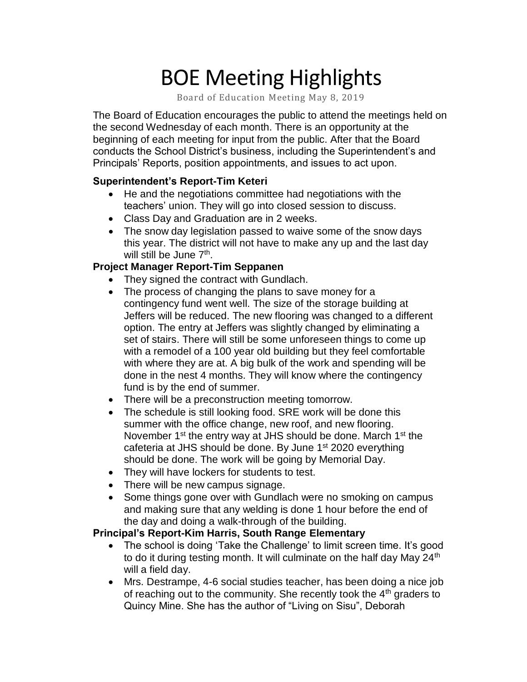# BOE Meeting Highlights

Board of Education Meeting May 8, 2019

 The Board of Education encourages the public to attend the meetings held on the second Wednesday of each month. There is an opportunity at the beginning of each meeting for input from the public. After that the Board conducts the School District's business, including the Superintendent's and Principals' Reports, position appointments, and issues to act upon.

#### **Superintendent's Report-Tim Keteri**

- He and the negotiations committee had negotiations with the teachers' union. They will go into closed session to discuss.
- Class Day and Graduation are in 2 weeks.
- The snow day legislation passed to waive some of the snow days this year. The district will not have to make any up and the last day will still be June 7<sup>th</sup>.

#### **Project Manager Report-Tim Seppanen**

- They signed the contract with Gundlach.
- The process of changing the plans to save money for a contingency fund went well. The size of the storage building at Jeffers will be reduced. The new flooring was changed to a different option. The entry at Jeffers was slightly changed by eliminating a set of stairs. There will still be some unforeseen things to come up with a remodel of a 100 year old building but they feel comfortable with where they are at. A big bulk of the work and spending will be done in the nest 4 months. They will know where the contingency fund is by the end of summer.
- There will be a preconstruction meeting tomorrow.
- The schedule is still looking food. SRE work will be done this summer with the office change, new roof, and new flooring. November 1<sup>st</sup> the entry way at JHS should be done. March 1<sup>st</sup> the cafeteria at JHS should be done. By June 1<sup>st</sup> 2020 everything should be done. The work will be going by Memorial Day.
- They will have lockers for students to test.
- There will be new campus signage.
- Some things gone over with Gundlach were no smoking on campus and making sure that any welding is done 1 hour before the end of the day and doing a walk-through of the building.

## **Principal's Report-Kim Harris, South Range Elementary**

- • The school is doing 'Take the Challenge' to limit screen time. It's good to do it during testing month. It will culminate on the half day May 24<sup>th</sup> will a field day.
- • Mrs. Destrampe, 4-6 social studies teacher, has been doing a nice job of reaching out to the community. She recently took the  $4<sup>th</sup>$  graders to Quincy Mine. She has the author of "Living on Sisu", Deborah